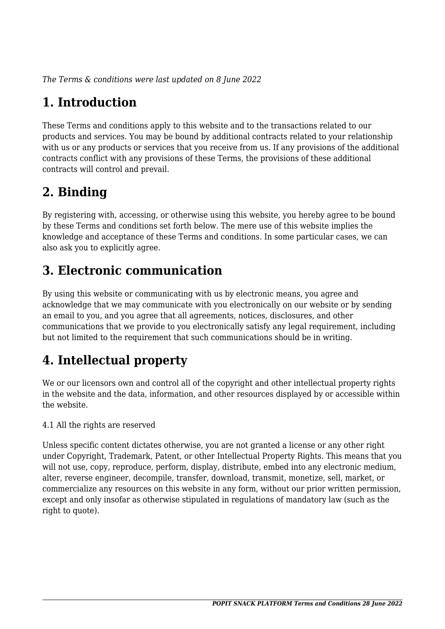*The Terms & conditions were last updated on 8 June 2022*

# **1. Introduction**

These Terms and conditions apply to this website and to the transactions related to our products and services. You may be bound by additional contracts related to your relationship with us or any products or services that you receive from us. If any provisions of the additional contracts conflict with any provisions of these Terms, the provisions of these additional contracts will control and prevail.

## **2. Binding**

By registering with, accessing, or otherwise using this website, you hereby agree to be bound by these Terms and conditions set forth below. The mere use of this website implies the knowledge and acceptance of these Terms and conditions. In some particular cases, we can also ask you to explicitly agree.

# **3. Electronic communication**

By using this website or communicating with us by electronic means, you agree and acknowledge that we may communicate with you electronically on our website or by sending an email to you, and you agree that all agreements, notices, disclosures, and other communications that we provide to you electronically satisfy any legal requirement, including but not limited to the requirement that such communications should be in writing.

# **4. Intellectual property**

We or our licensors own and control all of the copyright and other intellectual property rights in the website and the data, information, and other resources displayed by or accessible within the website.

4.1 All the rights are reserved

Unless specific content dictates otherwise, you are not granted a license or any other right under Copyright, Trademark, Patent, or other Intellectual Property Rights. This means that you will not use, copy, reproduce, perform, display, distribute, embed into any electronic medium, alter, reverse engineer, decompile, transfer, download, transmit, monetize, sell, market, or commercialize any resources on this website in any form, without our prior written permission, except and only insofar as otherwise stipulated in regulations of mandatory law (such as the right to quote).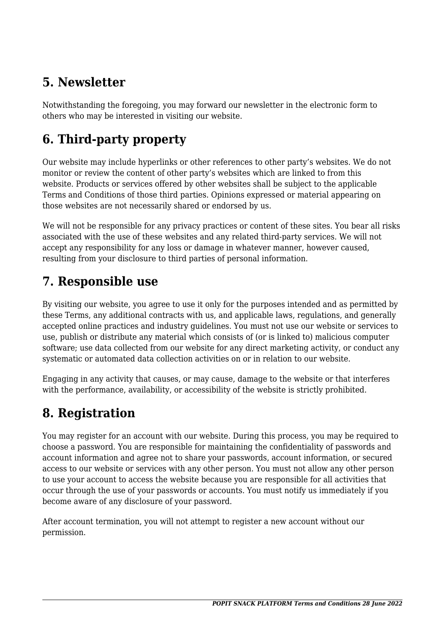### **5. Newsletter**

Notwithstanding the foregoing, you may forward our newsletter in the electronic form to others who may be interested in visiting our website.

# **6. Third-party property**

Our website may include hyperlinks or other references to other party's websites. We do not monitor or review the content of other party's websites which are linked to from this website. Products or services offered by other websites shall be subject to the applicable Terms and Conditions of those third parties. Opinions expressed or material appearing on those websites are not necessarily shared or endorsed by us.

We will not be responsible for any privacy practices or content of these sites. You bear all risks associated with the use of these websites and any related third-party services. We will not accept any responsibility for any loss or damage in whatever manner, however caused, resulting from your disclosure to third parties of personal information.

#### **7. Responsible use**

By visiting our website, you agree to use it only for the purposes intended and as permitted by these Terms, any additional contracts with us, and applicable laws, regulations, and generally accepted online practices and industry guidelines. You must not use our website or services to use, publish or distribute any material which consists of (or is linked to) malicious computer software; use data collected from our website for any direct marketing activity, or conduct any systematic or automated data collection activities on or in relation to our website.

Engaging in any activity that causes, or may cause, damage to the website or that interferes with the performance, availability, or accessibility of the website is strictly prohibited.

## **8. Registration**

You may register for an account with our website. During this process, you may be required to choose a password. You are responsible for maintaining the confidentiality of passwords and account information and agree not to share your passwords, account information, or secured access to our website or services with any other person. You must not allow any other person to use your account to access the website because you are responsible for all activities that occur through the use of your passwords or accounts. You must notify us immediately if you become aware of any disclosure of your password.

After account termination, you will not attempt to register a new account without our permission.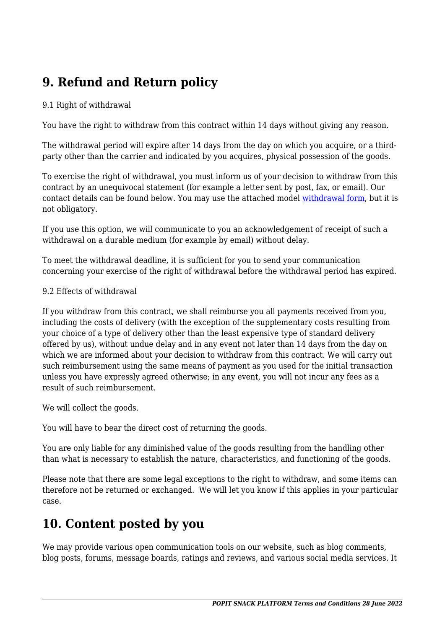# **9. Refund and Return policy**

#### 9.1 Right of withdrawal

You have the right to withdraw from this contract within 14 days without giving any reason.

The withdrawal period will expire after 14 days from the day on which you acquire, or a thirdparty other than the carrier and indicated by you acquires, physical possession of the goods.

To exercise the right of withdrawal, you must inform us of your decision to withdraw from this contract by an unequivocal statement (for example a letter sent by post, fax, or email). Our contact details can be found below. You may use the attached model [withdrawal form](https://popitsnack.com/wp-content/uploads/complianz/withdrawal-forms/withdrawal-form-en.pdf), but it is not obligatory.

If you use this option, we will communicate to you an acknowledgement of receipt of such a withdrawal on a durable medium (for example by email) without delay.

To meet the withdrawal deadline, it is sufficient for you to send your communication concerning your exercise of the right of withdrawal before the withdrawal period has expired.

#### 9.2 Effects of withdrawal

If you withdraw from this contract, we shall reimburse you all payments received from you, including the costs of delivery (with the exception of the supplementary costs resulting from your choice of a type of delivery other than the least expensive type of standard delivery offered by us), without undue delay and in any event not later than 14 days from the day on which we are informed about your decision to withdraw from this contract. We will carry out such reimbursement using the same means of payment as you used for the initial transaction unless you have expressly agreed otherwise; in any event, you will not incur any fees as a result of such reimbursement.

We will collect the goods.

You will have to bear the direct cost of returning the goods.

You are only liable for any diminished value of the goods resulting from the handling other than what is necessary to establish the nature, characteristics, and functioning of the goods.

Please note that there are some legal exceptions to the right to withdraw, and some items can therefore not be returned or exchanged. We will let you know if this applies in your particular case.

#### **10. Content posted by you**

We may provide various open communication tools on our website, such as blog comments, blog posts, forums, message boards, ratings and reviews, and various social media services. It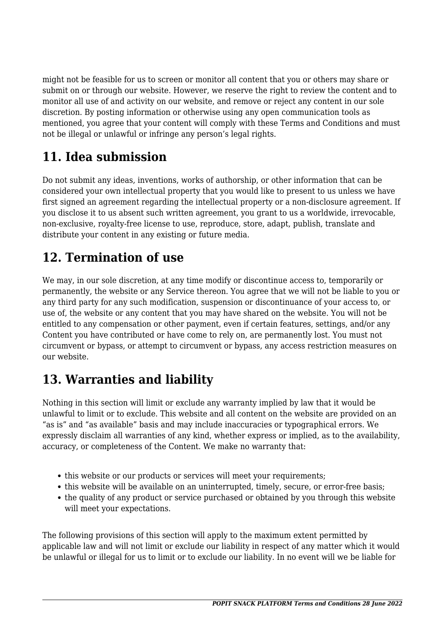might not be feasible for us to screen or monitor all content that you or others may share or submit on or through our website. However, we reserve the right to review the content and to monitor all use of and activity on our website, and remove or reject any content in our sole discretion. By posting information or otherwise using any open communication tools as mentioned, you agree that your content will comply with these Terms and Conditions and must not be illegal or unlawful or infringe any person's legal rights.

# **11. Idea submission**

Do not submit any ideas, inventions, works of authorship, or other information that can be considered your own intellectual property that you would like to present to us unless we have first signed an agreement regarding the intellectual property or a non-disclosure agreement. If you disclose it to us absent such written agreement, you grant to us a worldwide, irrevocable, non-exclusive, royalty-free license to use, reproduce, store, adapt, publish, translate and distribute your content in any existing or future media.

### **12. Termination of use**

We may, in our sole discretion, at any time modify or discontinue access to, temporarily or permanently, the website or any Service thereon. You agree that we will not be liable to you or any third party for any such modification, suspension or discontinuance of your access to, or use of, the website or any content that you may have shared on the website. You will not be entitled to any compensation or other payment, even if certain features, settings, and/or any Content you have contributed or have come to rely on, are permanently lost. You must not circumvent or bypass, or attempt to circumvent or bypass, any access restriction measures on our website.

## **13. Warranties and liability**

Nothing in this section will limit or exclude any warranty implied by law that it would be unlawful to limit or to exclude. This website and all content on the website are provided on an "as is" and "as available" basis and may include inaccuracies or typographical errors. We expressly disclaim all warranties of any kind, whether express or implied, as to the availability, accuracy, or completeness of the Content. We make no warranty that:

- this website or our products or services will meet your requirements;
- this website will be available on an uninterrupted, timely, secure, or error-free basis;
- the quality of any product or service purchased or obtained by you through this website will meet your expectations.

The following provisions of this section will apply to the maximum extent permitted by applicable law and will not limit or exclude our liability in respect of any matter which it would be unlawful or illegal for us to limit or to exclude our liability. In no event will we be liable for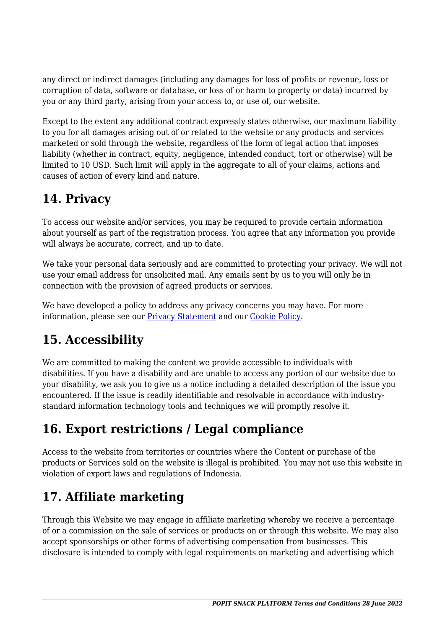any direct or indirect damages (including any damages for loss of profits or revenue, loss or corruption of data, software or database, or loss of or harm to property or data) incurred by you or any third party, arising from your access to, or use of, our website.

Except to the extent any additional contract expressly states otherwise, our maximum liability to you for all damages arising out of or related to the website or any products and services marketed or sold through the website, regardless of the form of legal action that imposes liability (whether in contract, equity, negligence, intended conduct, tort or otherwise) will be limited to 10 USD. Such limit will apply in the aggregate to all of your claims, actions and causes of action of every kind and nature.

## **14. Privacy**

To access our website and/or services, you may be required to provide certain information about yourself as part of the registration process. You agree that any information you provide will always be accurate, correct, and up to date.

We take your personal data seriously and are committed to protecting your privacy. We will not use your email address for unsolicited mail. Any emails sent by us to you will only be in connection with the provision of agreed products or services.

We have developed a policy to address any privacy concerns you may have. For more information, please see our [Privacy Statement](https://popitsnack.com/privacy-center/privacy-policy/?cmplz_region_redirect=true) and our [Cookie Policy](https://popitsnack.com/privacy-center/cookie-policy/?cmplz_region_redirect=true).

# **15. Accessibility**

We are committed to making the content we provide accessible to individuals with disabilities. If you have a disability and are unable to access any portion of our website due to your disability, we ask you to give us a notice including a detailed description of the issue you encountered. If the issue is readily identifiable and resolvable in accordance with industrystandard information technology tools and techniques we will promptly resolve it.

# **16. Export restrictions / Legal compliance**

Access to the website from territories or countries where the Content or purchase of the products or Services sold on the website is illegal is prohibited. You may not use this website in violation of export laws and regulations of Indonesia.

# **17. Affiliate marketing**

Through this Website we may engage in affiliate marketing whereby we receive a percentage of or a commission on the sale of services or products on or through this website. We may also accept sponsorships or other forms of advertising compensation from businesses. This disclosure is intended to comply with legal requirements on marketing and advertising which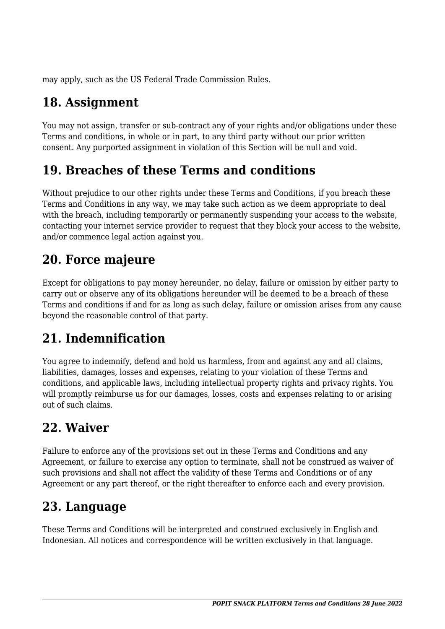may apply, such as the US Federal Trade Commission Rules.

# **18. Assignment**

You may not assign, transfer or sub-contract any of your rights and/or obligations under these Terms and conditions, in whole or in part, to any third party without our prior written consent. Any purported assignment in violation of this Section will be null and void.

## **19. Breaches of these Terms and conditions**

Without prejudice to our other rights under these Terms and Conditions, if you breach these Terms and Conditions in any way, we may take such action as we deem appropriate to deal with the breach, including temporarily or permanently suspending your access to the website, contacting your internet service provider to request that they block your access to the website, and/or commence legal action against you.

## **20. Force majeure**

Except for obligations to pay money hereunder, no delay, failure or omission by either party to carry out or observe any of its obligations hereunder will be deemed to be a breach of these Terms and conditions if and for as long as such delay, failure or omission arises from any cause beyond the reasonable control of that party.

# **21. Indemnification**

You agree to indemnify, defend and hold us harmless, from and against any and all claims, liabilities, damages, losses and expenses, relating to your violation of these Terms and conditions, and applicable laws, including intellectual property rights and privacy rights. You will promptly reimburse us for our damages, losses, costs and expenses relating to or arising out of such claims.

#### **22. Waiver**

Failure to enforce any of the provisions set out in these Terms and Conditions and any Agreement, or failure to exercise any option to terminate, shall not be construed as waiver of such provisions and shall not affect the validity of these Terms and Conditions or of any Agreement or any part thereof, or the right thereafter to enforce each and every provision.

#### **23. Language**

These Terms and Conditions will be interpreted and construed exclusively in English and Indonesian. All notices and correspondence will be written exclusively in that language.